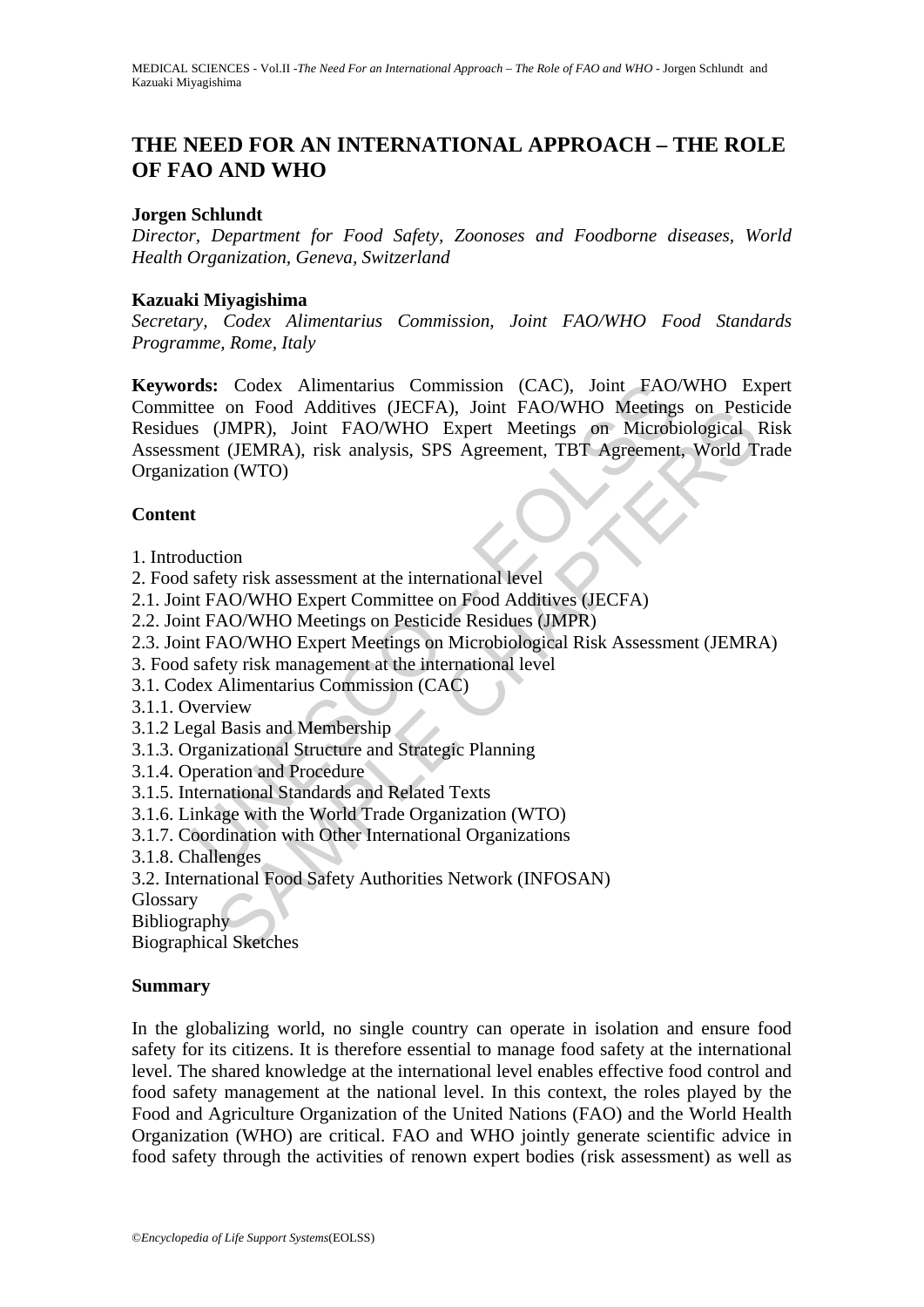# **THE NEED FOR AN INTERNATIONAL APPROACH – THE ROLE OF FAO AND WHO**

#### **Jorgen Schlundt**

*Director, Department for Food Safety, Zoonoses and Foodborne diseases, World Health Organization, Geneva, Switzerland* 

#### **Kazuaki Miyagishima**

*Secretary, Codex Alimentarius Commission, Joint FAO/WHO Food Standards Programme, Rome, Italy* 

rds: Codex Alimentarius Commission (CAC), Joint FAO.<br>tete on Food Additives (JECFA), Joint FAO/WHO Meetings<br>is (JMPR), Joint FAO/WHO Expert Meetings on Microb<br>nent (JEMRA), risk analysis, SPS Agreement, TBT Agreement<br>actio on Food Adduttes (JBCP-A), Joint FAO/WHO Metemps on Pesture<br>(JMPR), Joint FAO/WHO Expert Meetings on Microbiological 1<br>t (JEMRA), risk analysis, SPS Agreement, TBT Agreement, World T<br>on (WTO)<br>for the same and the internati **Keywords:** Codex Alimentarius Commission (CAC), Joint FAO/WHO Expert Committee on Food Additives (JECFA), Joint FAO/WHO Meetings on Pesticide Residues (JMPR), Joint FAO/WHO Expert Meetings on Microbiological Risk Assessment (JEMRA), risk analysis, SPS Agreement, TBT Agreement, World Trade Organization (WTO)

## **Content**

- 1. Introduction
- 2. Food safety risk assessment at the international level
- 2.1. Joint FAO/WHO Expert Committee on Food Additives (JECFA)
- 2.2. Joint FAO/WHO Meetings on Pesticide Residues (JMPR)
- 2.3. Joint FAO/WHO Expert Meetings on Microbiological Risk Assessment (JEMRA)
- 3. Food safety risk management at the international level
- 3.1. Codex Alimentarius Commission (CAC)
- 3.1.1. Overview
- 3.1.2 Legal Basis and Membership
- 3.1.3. Organizational Structure and Strategic Planning
- 3.1.4. Operation and Procedure
- 3.1.5. International Standards and Related Texts
- 3.1.6. Linkage with the World Trade Organization (WTO)
- 3.1.7. Coordination with Other International Organizations
- 3.1.8. Challenges
- 3.2. International Food Safety Authorities Network (INFOSAN)

Glossary

**Bibliography** 

Biographical Sketches

#### **Summary**

In the globalizing world, no single country can operate in isolation and ensure food safety for its citizens. It is therefore essential to manage food safety at the international level. The shared knowledge at the international level enables effective food control and food safety management at the national level. In this context, the roles played by the Food and Agriculture Organization of the United Nations (FAO) and the World Health Organization (WHO) are critical. FAO and WHO jointly generate scientific advice in food safety through the activities of renown expert bodies (risk assessment) as well as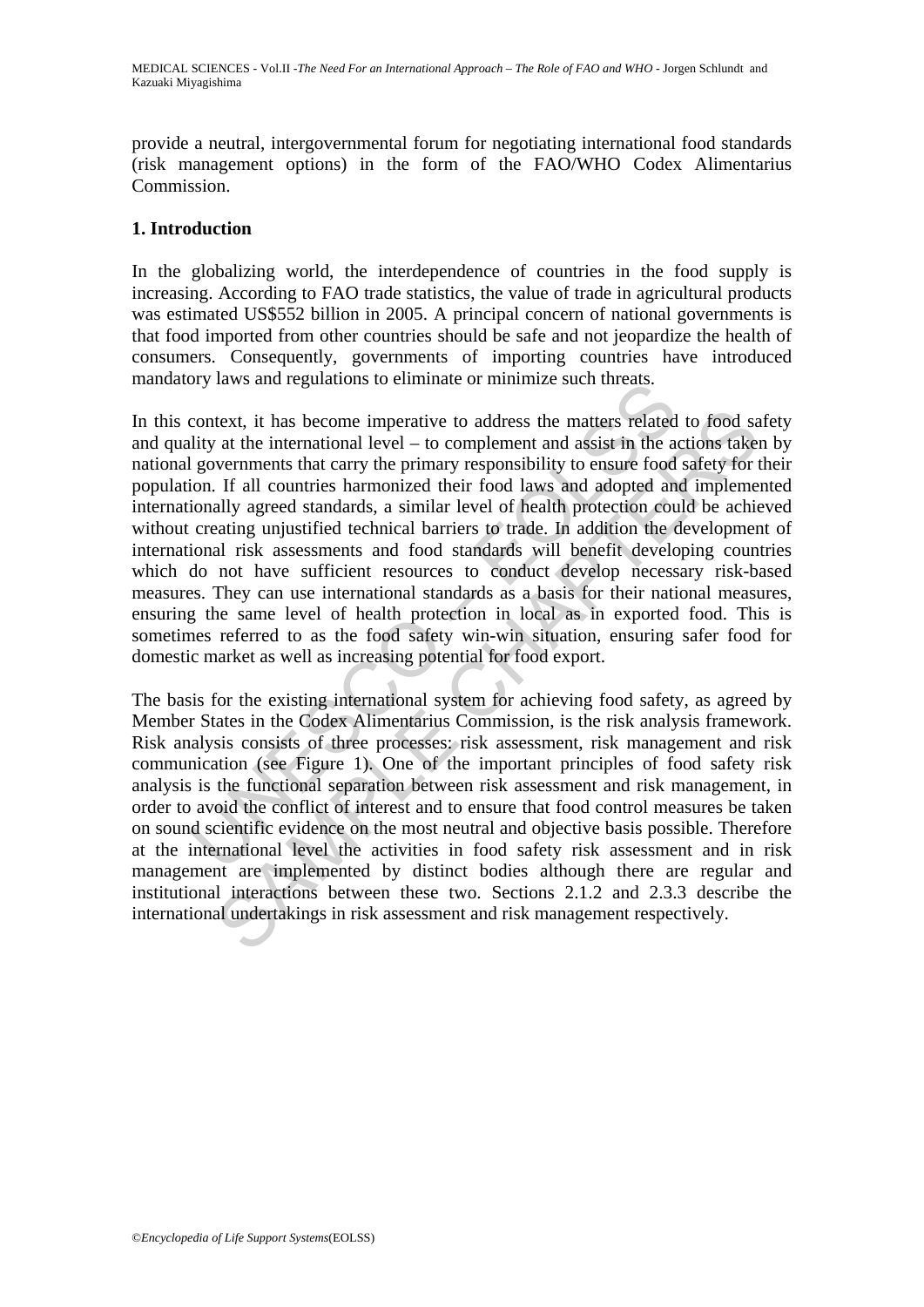provide a neutral, intergovernmental forum for negotiating international food standards (risk management options) in the form of the FAO/WHO Codex Alimentarius Commission.

#### **1. Introduction**

In the globalizing world, the interdependence of countries in the food supply is increasing. According to FAO trade statistics, the value of trade in agricultural products was estimated US\$552 billion in 2005. A principal concern of national governments is that food imported from other countries should be safe and not jeopardize the health of consumers. Consequently, governments of importing countries have introduced mandatory laws and regulations to eliminate or minimize such threats.

by laws and regulations to eminiate of imminize such uneads.<br>
context, it has become imperative to address the matters related<br>
lity at the international level – to complement and assist in the a<br>
governments that carry th text, it has become imperative to address the matters related to food sa<br>at the international level – to complement and assist in the actions take<br>vermennts that carry the primary responsibility to ensure food sate<br>of safe In this context, it has become imperative to address the matters related to food safety and quality at the international level – to complement and assist in the actions taken by national governments that carry the primary responsibility to ensure food safety for their population. If all countries harmonized their food laws and adopted and implemented internationally agreed standards, a similar level of health protection could be achieved without creating unjustified technical barriers to trade. In addition the development of international risk assessments and food standards will benefit developing countries which do not have sufficient resources to conduct develop necessary risk-based measures. They can use international standards as a basis for their national measures, ensuring the same level of health protection in local as in exported food. This is sometimes referred to as the food safety win-win situation, ensuring safer food for domestic market as well as increasing potential for food export.

The basis for the existing international system for achieving food safety, as agreed by Member States in the Codex Alimentarius Commission, is the risk analysis framework. Risk analysis consists of three processes: risk assessment, risk management and risk communication (see Figure 1). One of the important principles of food safety risk analysis is the functional separation between risk assessment and risk management, in order to avoid the conflict of interest and to ensure that food control measures be taken on sound scientific evidence on the most neutral and objective basis possible. Therefore at the international level the activities in food safety risk assessment and in risk management are implemented by distinct bodies although there are regular and institutional interactions between these two. Sections 2.1.2 and 2.3.3 describe the international undertakings in risk assessment and risk management respectively.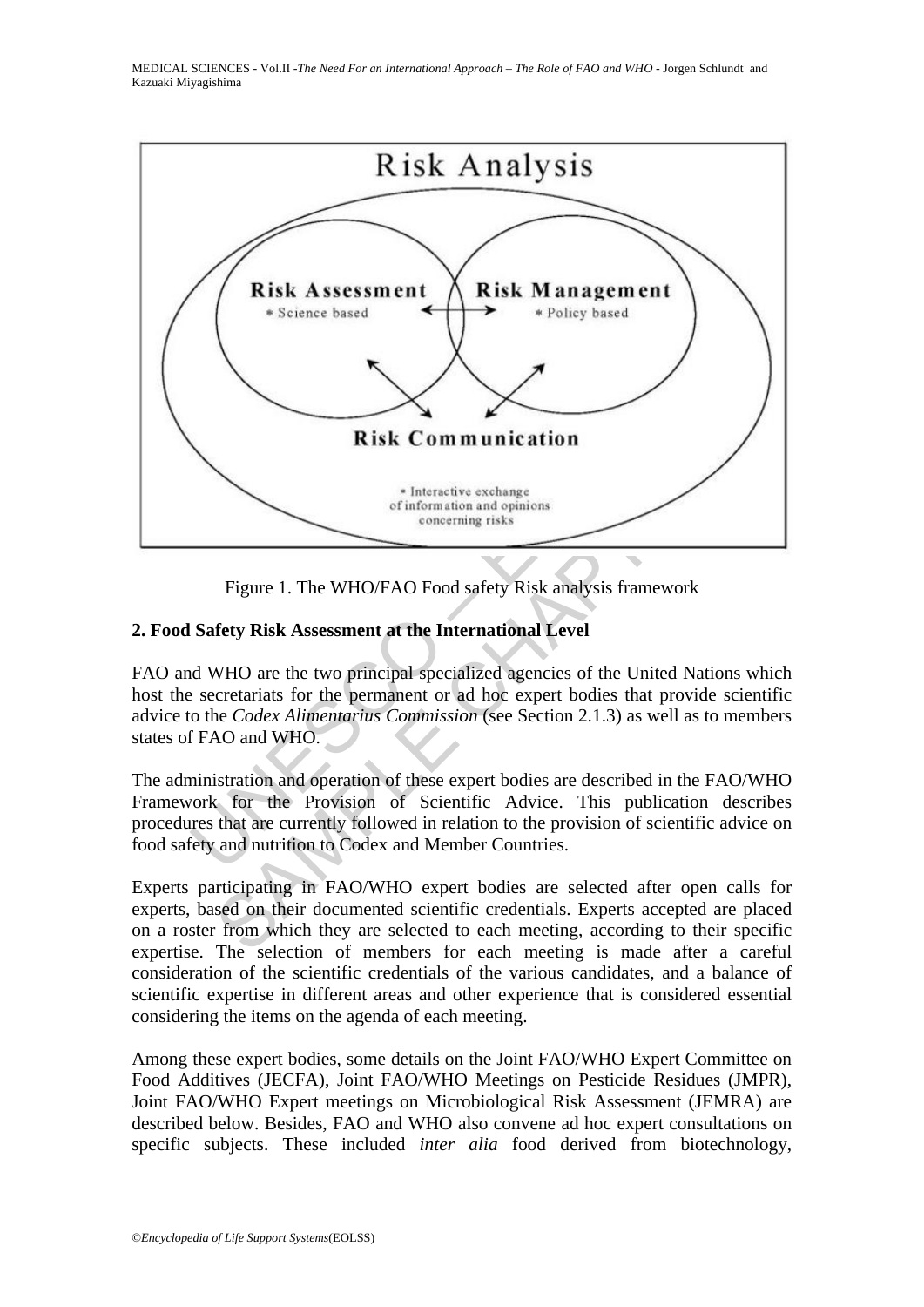MEDICAL SCIENCES - Vol.II -*The Need For an International Approach – The Role of FAO and WHO* - Jorgen Schlundt and Kazuaki Miyagishima



Figure 1. The WHO/FAO Food safety Risk analysis framework

## **2. Food Safety Risk Assessment at the International Level**

FAO and WHO are the two principal specialized agencies of the United Nations which host the secretariats for the permanent or ad hoc expert bodies that provide scientific advice to the *Codex Alimentarius Commission* (see Section 2.1.3) as well as to members states of FAO and WHO.

The administration and operation of these expert bodies are described in the FAO/WHO Framework for the Provision of Scientific Advice. This publication describes procedures that are currently followed in relation to the provision of scientific advice on food safety and nutrition to Codex and Member Countries.

Experts participating in FAO/WHO expert bodies are selected after open calls for experts, based on their documented scientific credentials. Experts accepted are placed on a roster from which they are selected to each meeting, according to their specific expertise. The selection of members for each meeting is made after a careful consideration of the scientific credentials of the various candidates, and a balance of scientific expertise in different areas and other experience that is considered essential considering the items on the agenda of each meeting.

Among these expert bodies, some details on the Joint FAO/WHO Expert Committee on Food Additives (JECFA), Joint FAO/WHO Meetings on Pesticide Residues (JMPR), Joint FAO/WHO Expert meetings on Microbiological Risk Assessment (JEMRA) are described below. Besides, FAO and WHO also convene ad hoc expert consultations on specific subjects. These included *inter alia* food derived from biotechnology,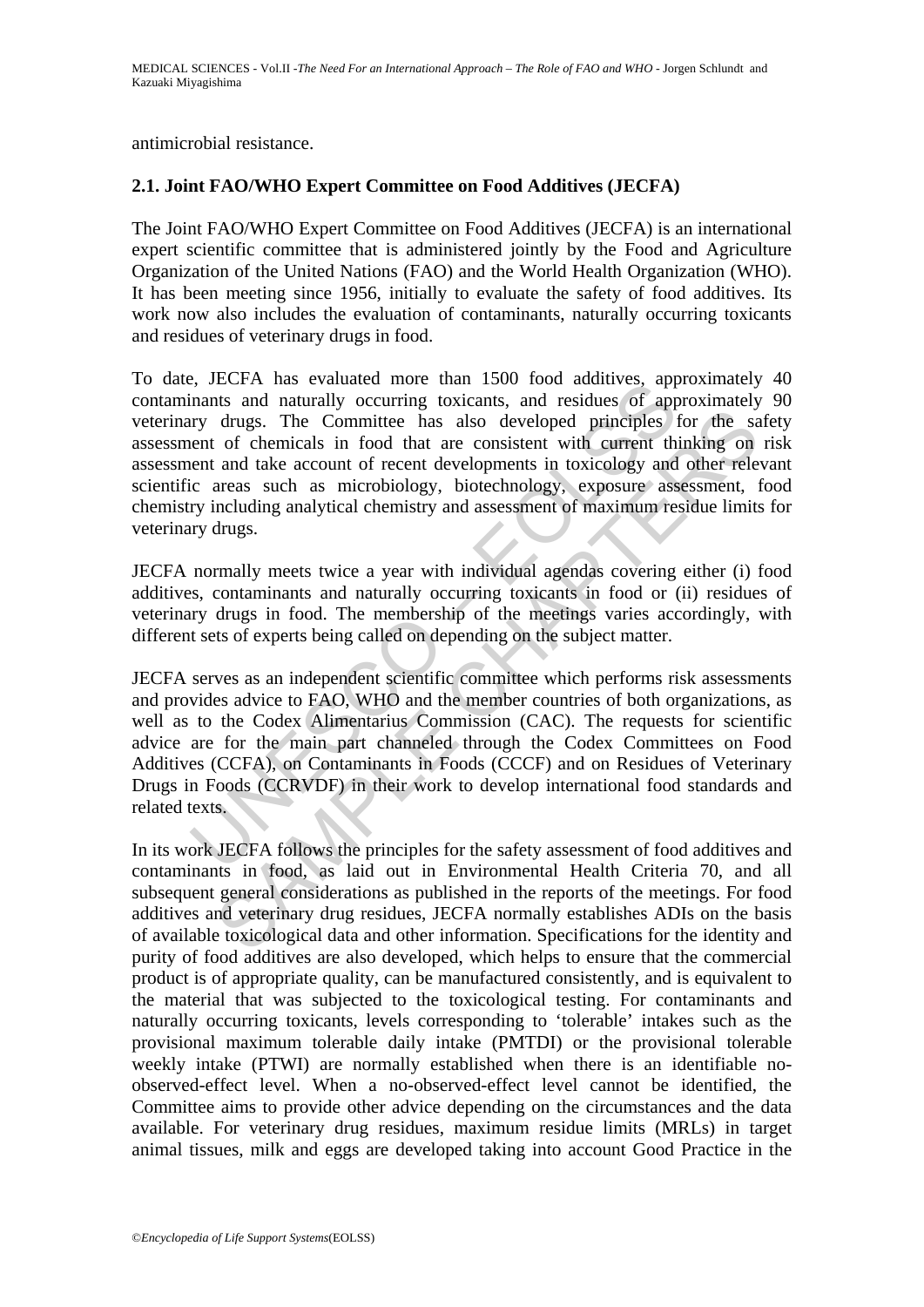antimicrobial resistance.

### **2.1. Joint FAO/WHO Expert Committee on Food Additives (JECFA)**

The Joint FAO/WHO Expert Committee on Food Additives (JECFA) is an international expert scientific committee that is administered jointly by the Food and Agriculture Organization of the United Nations (FAO) and the World Health Organization (WHO). It has been meeting since 1956, initially to evaluate the safety of food additives. Its work now also includes the evaluation of contaminants, naturally occurring toxicants and residues of veterinary drugs in food.

s, increase woman and maturally occurring toxicants. and residues of apply drugs. The Committee hand absorbed minimism and residues of apply drugs. The Committee has also developed principles if entroptively drugs. The Com To date, JECFA has evaluated more than 1500 food additives, approximately 40 contaminants and naturally occurring toxicants, and residues of approximately 90 veterinary drugs. The Committee has also developed principles for the safety assessment of chemicals in food that are consistent with current thinking on risk assessment and take account of recent developments in toxicology and other relevant scientific areas such as microbiology, biotechnology, exposure assessment, food chemistry including analytical chemistry and assessment of maximum residue limits for veterinary drugs.

JECFA normally meets twice a year with individual agendas covering either (i) food additives, contaminants and naturally occurring toxicants in food or (ii) residues of veterinary drugs in food. The membership of the meetings varies accordingly, with different sets of experts being called on depending on the subject matter.

drugs. The Committee has also developed principles for the same of chemicals in food that are consistent with current thinking on and take account of recent developments in toxicology and other the same areas such as micro JECFA serves as an independent scientific committee which performs risk assessments and provides advice to FAO, WHO and the member countries of both organizations, as well as to the Codex Alimentarius Commission (CAC). The requests for scientific advice are for the main part channeled through the Codex Committees on Food Additives (CCFA), on Contaminants in Foods (CCCF) and on Residues of Veterinary Drugs in Foods (CCRVDF) in their work to develop international food standards and related texts.

In its work JECFA follows the principles for the safety assessment of food additives and contaminants in food, as laid out in Environmental Health Criteria 70, and all subsequent general considerations as published in the reports of the meetings. For food additives and veterinary drug residues, JECFA normally establishes ADIs on the basis of available toxicological data and other information. Specifications for the identity and purity of food additives are also developed, which helps to ensure that the commercial product is of appropriate quality, can be manufactured consistently, and is equivalent to the material that was subjected to the toxicological testing. For contaminants and naturally occurring toxicants, levels corresponding to 'tolerable' intakes such as the provisional maximum tolerable daily intake (PMTDI) or the provisional tolerable weekly intake (PTWI) are normally established when there is an identifiable noobserved-effect level. When a no-observed-effect level cannot be identified, the Committee aims to provide other advice depending on the circumstances and the data available. For veterinary drug residues, maximum residue limits (MRLs) in target animal tissues, milk and eggs are developed taking into account Good Practice in the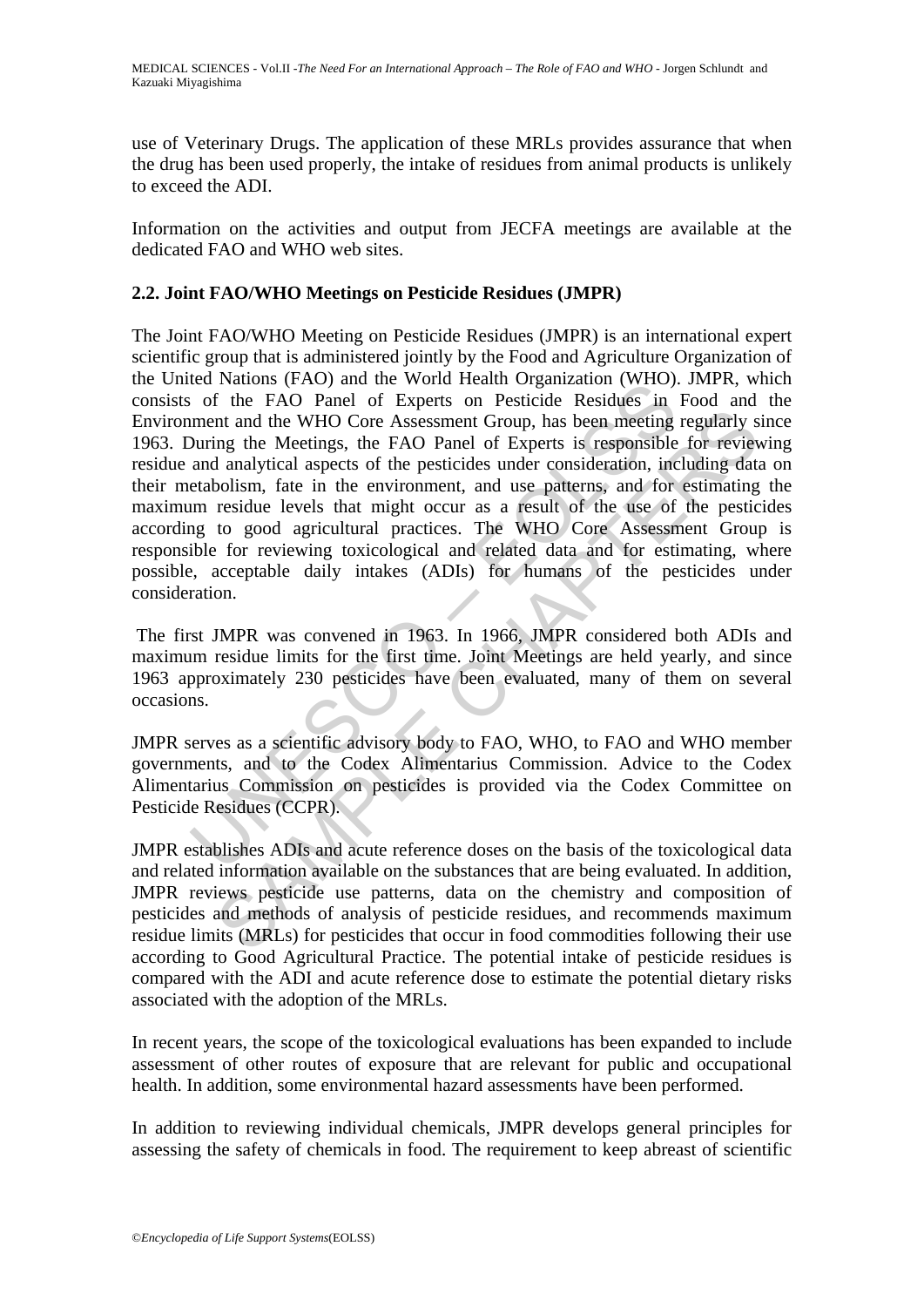use of Veterinary Drugs. The application of these MRLs provides assurance that when the drug has been used properly, the intake of residues from animal products is unlikely to exceed the ADI.

Information on the activities and output from JECFA meetings are available at the dedicated FAO and WHO web sites.

## **2.2. Joint FAO/WHO Meetings on Pesticide Residues (JMPR)**

Examples tractor and the world relation or who relation to the content<br>is of the FAO Panel of Experts on Pesticide Residues in<br>ment and the WHO Core Assessment Group, has been meeting<br>During the Meetings, the FAO Panel of In and the WHO Core Assessment Group, has been meeting regularly sing the Meetings, the FAO Panel of Experts is responsible for review analytical aspects of the pesticides under onsideration, including data model and use p The Joint FAO/WHO Meeting on Pesticide Residues (JMPR) is an international expert scientific group that is administered jointly by the Food and Agriculture Organization of the United Nations (FAO) and the World Health Organization (WHO). JMPR, which consists of the FAO Panel of Experts on Pesticide Residues in Food and the Environment and the WHO Core Assessment Group, has been meeting regularly since 1963. During the Meetings, the FAO Panel of Experts is responsible for reviewing residue and analytical aspects of the pesticides under consideration, including data on their metabolism, fate in the environment, and use patterns, and for estimating the maximum residue levels that might occur as a result of the use of the pesticides according to good agricultural practices. The WHO Core Assessment Group is responsible for reviewing toxicological and related data and for estimating, where possible, acceptable daily intakes (ADIs) for humans of the pesticides under consideration.

 The first JMPR was convened in 1963. In 1966, JMPR considered both ADIs and maximum residue limits for the first time. Joint Meetings are held yearly, and since 1963 approximately 230 pesticides have been evaluated, many of them on several occasions.

JMPR serves as a scientific advisory body to FAO, WHO, to FAO and WHO member governments, and to the Codex Alimentarius Commission. Advice to the Codex Alimentarius Commission on pesticides is provided via the Codex Committee on Pesticide Residues (CCPR).

JMPR establishes ADIs and acute reference doses on the basis of the toxicological data and related information available on the substances that are being evaluated. In addition, JMPR reviews pesticide use patterns, data on the chemistry and composition of pesticides and methods of analysis of pesticide residues, and recommends maximum residue limits (MRLs) for pesticides that occur in food commodities following their use according to Good Agricultural Practice. The potential intake of pesticide residues is compared with the ADI and acute reference dose to estimate the potential dietary risks associated with the adoption of the MRLs.

In recent years, the scope of the toxicological evaluations has been expanded to include assessment of other routes of exposure that are relevant for public and occupational health. In addition, some environmental hazard assessments have been performed.

In addition to reviewing individual chemicals, JMPR develops general principles for assessing the safety of chemicals in food. The requirement to keep abreast of scientific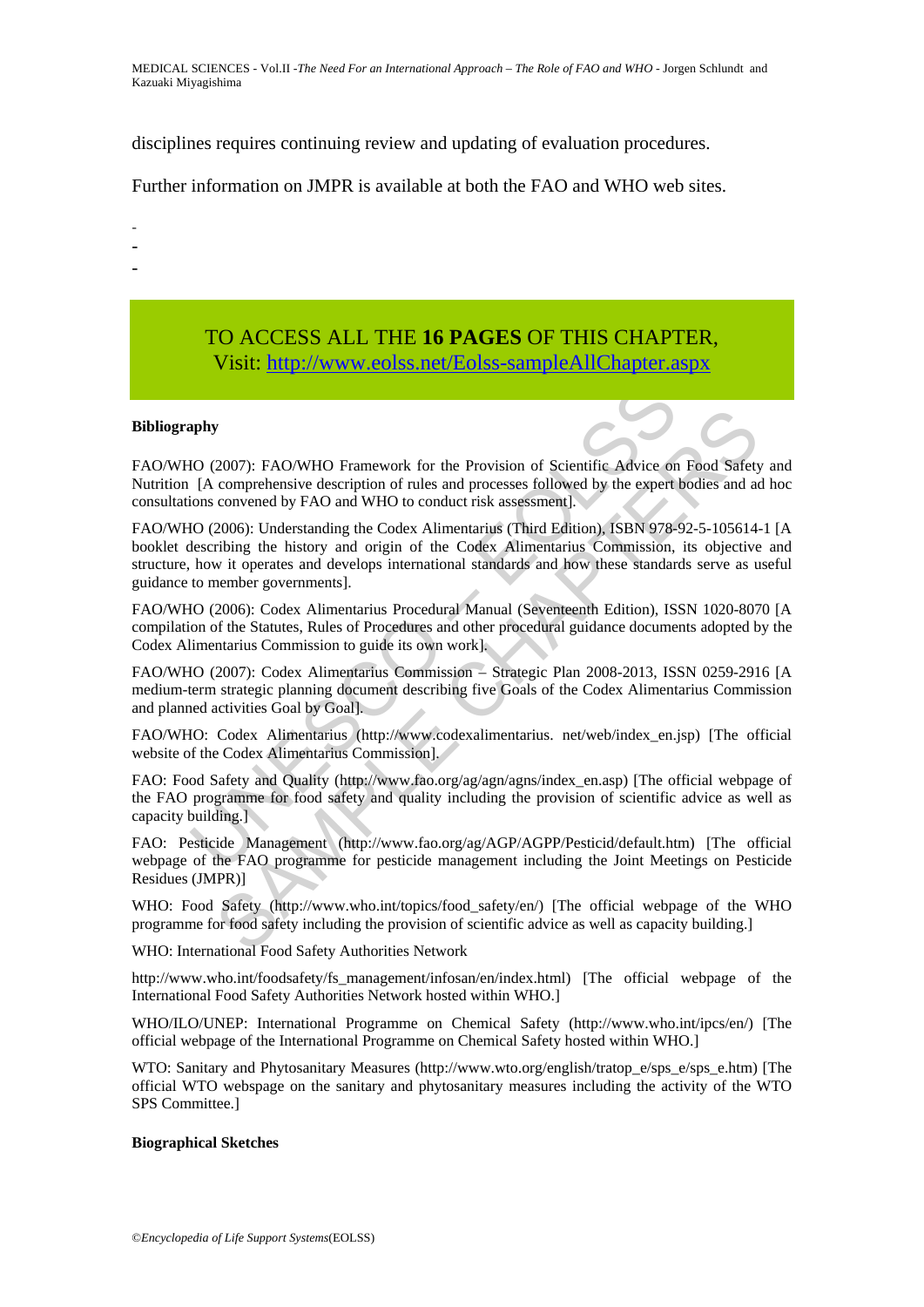MEDICAL SCIENCES - Vol.II -*The Need For an International Approach – The Role of FAO and WHO* - Jorgen Schlundt and Kazuaki Miyagishima

disciplines requires continuing review and updating of evaluation procedures.

Further information on JMPR is available at both the FAO and WHO web sites.

-

- -
- -

# TO ACCESS ALL THE **16 PAGES** OF THIS CHAPTER, Visit[: http://www.eolss.net/Eolss-sampleAllChapter.aspx](https://www.eolss.net/ebooklib/sc_cart.aspx?File=E6-59-15-03)

#### **Bibliography**

FAO/WHO (2007): FAO/WHO Framework for the Provision of Scientific Advice on Food Safety and Nutrition [A comprehensive description of rules and processes followed by the expert bodies and ad hoc consultations convened by FAO and WHO to conduct risk assessment].

**EXECTS AND THE SCONDIG CONDUCTS (EXECTS)**<br>
(A compenhensive description of rules and processes followed by the expert<br>
(A compenhensive description of rules and processes followed by the expert<br>
(IO (2006): Understanding y<br>
2007): FAO/WHO Framework for the Provision of Scientific Advice on Food Safety<br>
comprehensive description of rules and processes followed by the expert bodies and a<br>
2006): Understanding the Codex Alimentarius (Third Ed FAO/WHO (2006): Understanding the Codex Alimentarius (Third Edition), ISBN 978-92-5-105614-1 [A booklet describing the history and origin of the Codex Alimentarius Commission, its objective and structure, how it operates and develops international standards and how these standards serve as useful guidance to member governments].

FAO/WHO (2006): Codex Alimentarius Procedural Manual (Seventeenth Edition), ISSN 1020-8070 [A compilation of the Statutes, Rules of Procedures and other procedural guidance documents adopted by the Codex Alimentarius Commission to guide its own work].

FAO/WHO (2007): Codex Alimentarius Commission – Strategic Plan 2008-2013, ISSN 0259-2916 [A medium-term strategic planning document describing five Goals of the Codex Alimentarius Commission and planned activities Goal by Goal].

FAO/WHO: Codex Alimentarius (http://www.codexalimentarius. net/web/index\_en.jsp) [The official website of the Codex Alimentarius Commission].

FAO: Food Safety and Quality (http://www.fao.org/agn/agns/index\_en.asp) [The official webpage of the FAO programme for food safety and quality including the provision of scientific advice as well as capacity building.]

FAO: Pesticide Management (http://www.fao.org/ag/AGP/AGPP/Pesticid/default.htm) [The official webpage of the FAO programme for pesticide management including the Joint Meetings on Pesticide Residues (JMPR)]

WHO: Food Safety (http://www.who.int/topics/food\_safety/en/) [The official webpage of the WHO programme for food safety including the provision of scientific advice as well as capacity building.]

WHO: International Food Safety Authorities Network

http://www.who.int/foodsafety/fs\_management/infosan/en/index.html) [The official webpage of the International Food Safety Authorities Network hosted within WHO.]

WHO/ILO/UNEP: International Programme on Chemical Safety (http://www.who.int/ipcs/en/) [The official webpage of the International Programme on Chemical Safety hosted within WHO.]

WTO: Sanitary and Phytosanitary Measures (http://www.wto.org/english/tratop\_e/sps\_e/sps\_e.htm) [The official WTO webspage on the sanitary and phytosanitary measures including the activity of the WTO SPS Committee.]

#### **Biographical Sketches**